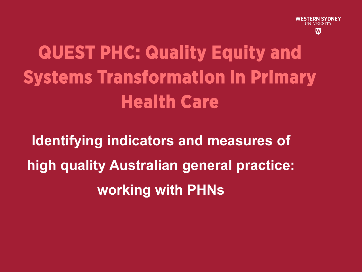

# **QUEST PHC: Quality Equity and Systems Transformation in Primary Health Care**

**Identifying indicators and measures of high quality Australian general practice: working with PHNs**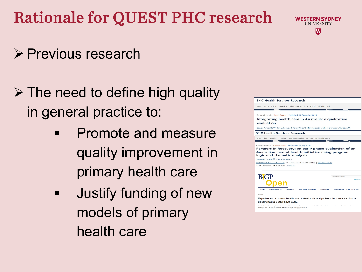## Rationale for QUEST PHC research

### $\triangleright$  Previous research

### $\triangleright$  The need to define high quality in general practice to:

- **•** Promote and measure quality improvement in primary health care
- **ULIADE** Justify funding of new models of primary health care



**WESTERN SYDNEY** UNIVERSITY lW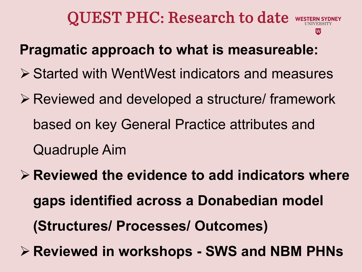### QUEST PHC: Research to date west

#### **Pragmatic approach to what is measureable:**

- **≻ Started with WentWest indicators and measures**
- Reviewed and developed a structure/ framework based on key General Practice attributes and Quadruple Aim
- **Reviewed the evidence to add indicators where gaps identified across a Donabedian model (Structures/ Processes/ Outcomes)**
- **Reviewed in workshops - SWS and NBM PHNs**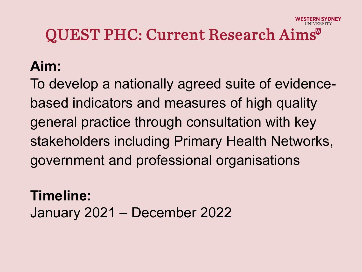## QUEST PHC: Current Research Aims

#### **Aim:**

To develop a nationally agreed suite of evidencebased indicators and measures of high quality general practice through consultation with key stakeholders including Primary Health Networks, government and professional organisations

**Timeline:** January 2021 – December 2022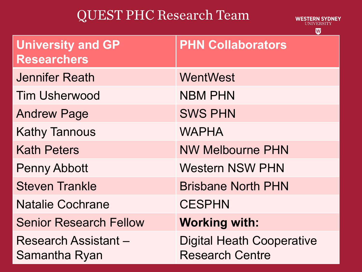### QUEST PHC Research Team

**WESTERN SYDNEY** UNIVERSITY

 $\overline{\mathbf{w}}$ 

| <b>University and GP</b><br><b>Researchers</b> | <b>PHN Collaborators</b>                                   |
|------------------------------------------------|------------------------------------------------------------|
| <b>Jennifer Reath</b>                          | WentWest                                                   |
| <b>Tim Usherwood</b>                           | <b>NBM PHN</b>                                             |
| <b>Andrew Page</b>                             | <b>SWS PHN</b>                                             |
| <b>Kathy Tannous</b>                           | <b>WAPHA</b>                                               |
| <b>Kath Peters</b>                             | <b>NW Melbourne PHN</b>                                    |
| <b>Penny Abbott</b>                            | <b>Western NSW PHN</b>                                     |
| <b>Steven Trankle</b>                          | <b>Brisbane North PHN</b>                                  |
| <b>Natalie Cochrane</b>                        | <b>CESPHN</b>                                              |
| <b>Senior Research Fellow</b>                  | <b>Working with:</b>                                       |
| <b>Research Assistant –</b><br>Samantha Ryan   | <b>Digital Heath Cooperative</b><br><b>Research Centre</b> |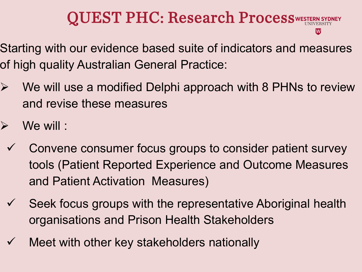## **QUEST PHC: Research ProcessWESTER**

- Starting with our evidence based suite of indicators and measures of high quality Australian General Practice:
- $\triangleright$  We will use a modified Delphi approach with 8 PHNs to review and revise these measures
- $\triangleright$  We will :
	- $\checkmark$  Convene consumer focus groups to consider patient survey tools (Patient Reported Experience and Outcome Measures and Patient Activation Measures)
	- $\checkmark$  Seek focus groups with the representative Aboriginal health organisations and Prison Health Stakeholders
	- Meet with other key stakeholders nationally